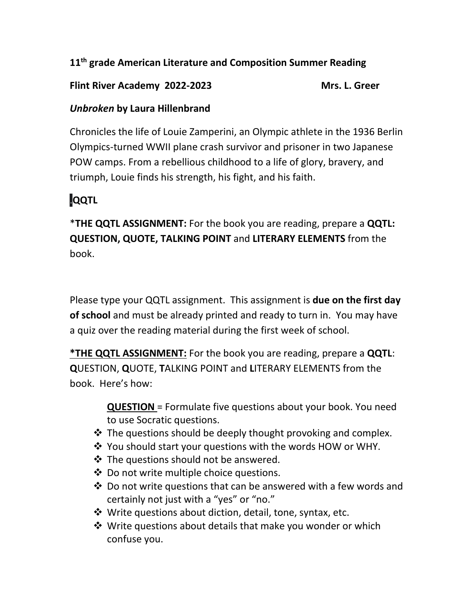## **11th grade American Literature and Composition Summer Reading**

## Flint River Academy 2022-2023<br>
Mrs. L. Greer

## *Unbroken* **by Laura Hillenbrand**

Chronicles the life of Louie Zamperini, an Olympic athlete in the 1936 Berlin Olympics-turned WWII plane crash survivor and prisoner in two Japanese POW camps. From a rebellious childhood to a life of glory, bravery, and triumph, Louie finds his strength, his fight, and his faith.

## .**QQTL**

\***THE QQTL ASSIGNMENT:** For the book you are reading, prepare a **QQTL: QUESTION, QUOTE, TALKING POINT** and **LITERARY ELEMENTS** from the book.

Please type your QQTL assignment. This assignment is **due on the first day of school** and must be already printed and ready to turn in. You may have a quiz over the reading material during the first week of school.

**\*THE QQTL ASSIGNMENT:** For the book you are reading, prepare a **QQTL**: **Q**UESTION, **Q**UOTE, **T**ALKING POINT and **L**ITERARY ELEMENTS from the book. Here's how:

> **QUESTION** = Formulate five questions about your book. You need to use Socratic questions.

- $\cdot$  The questions should be deeply thought provoking and complex.
- You should start your questions with the words HOW or WHY.
- $\cdot$  The questions should not be answered.
- ❖ Do not write multiple choice questions.
- Do not write questions that can be answered with a few words and certainly not just with a "yes" or "no."
- $\clubsuit$  Write questions about diction, detail, tone, syntax, etc.
- $\clubsuit$  Write questions about details that make you wonder or which confuse you.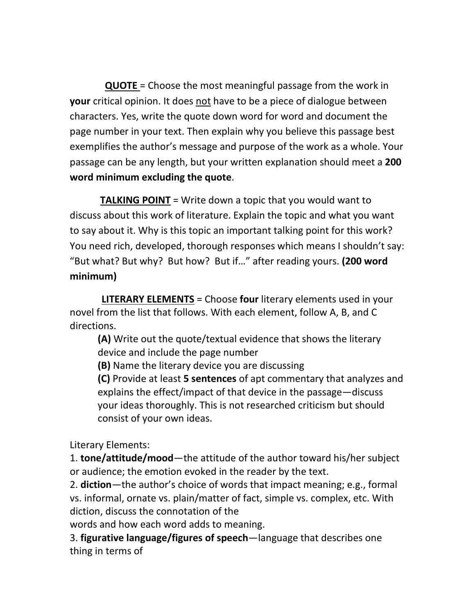**QUOTE** = Choose the most meaningful passage from the work in **your** critical opinion. It does not have to be a piece of dialogue between characters. Yes, write the quote down word for word and document the page number in your text. Then explain why you believe this passage best exemplifies the author's message and purpose of the work as a whole. Your passage can be any length, but your written explanation should meet a **200 word minimum excluding the quote**.

 **TALKING POINT** = Write down a topic that you would want to discuss about this work of literature. Explain the topic and what you want to say about it. Why is this topic an important talking point for this work? You need rich, developed, thorough responses which means I shouldn't say: "But what? But why? But how? But if…" after reading yours. **(200 word minimum)**

 **LITERARY ELEMENTS** = Choose **four** literary elements used in your novel from the list that follows. With each element, follow A, B, and C directions.

**(A)** Write out the quote/textual evidence that shows the literary device and include the page number

**(B)** Name the literary device you are discussing

**(C)** Provide at least **5 sentences** of apt commentary that analyzes and explains the effect/impact of that device in the passage—discuss your ideas thoroughly. This is not researched criticism but should consist of your own ideas.

Literary Elements:

1. **tone/attitude/mood**—the attitude of the author toward his/her subject or audience; the emotion evoked in the reader by the text.

2. **diction**—the author's choice of words that impact meaning; e.g., formal vs. informal, ornate vs. plain/matter of fact, simple vs. complex, etc. With diction, discuss the connotation of the

words and how each word adds to meaning.

3. **figurative language/figures of speech**—language that describes one thing in terms of